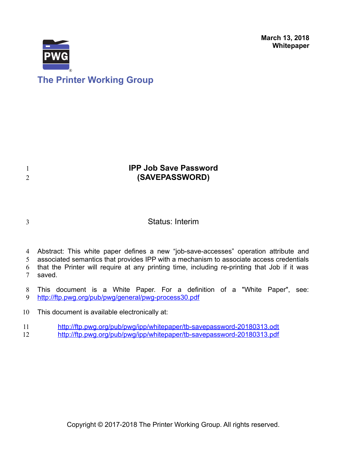**March 13, 2018 Whitepaper**



# **The Printer Working Group**

## **IPP Job Save Password (SAVEPASSWORD)**

3

1 2

## Status: Interim

- 4 Abstract: This white paper defines a new "job-save-accesses" operation attribute and
- associated semantics that provides IPP with a mechanism to associate access credentials that the Printer will require at any printing time, including re-printing that Job if it was 5 6
- saved. 7
- This document is a White Paper. For a definition of a "White Paper", see: <http://ftp.pwg.org/pub/pwg/general/pwg-process30.pdf> 8 9
- This document is available electronically at: 10
- <http://ftp.pwg.org/pub/pwg/ipp/whitepaper/tb-savepassword-20180313.odt> 11
- <http://ftp.pwg.org/pub/pwg/ipp/whitepaper/tb-savepassword-20180313.pdf> 12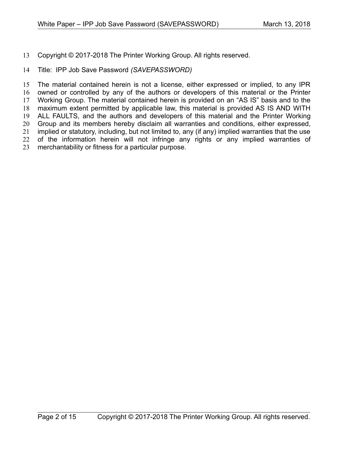Copyright © 2017-2018 The Printer Working Group. All rights reserved. 13

#### Title: IPP Job Save Password *(SAVEPASSWORD)* 14

The material contained herein is not a license, either expressed or implied, to any IPR owned or controlled by any of the authors or developers of this material or the Printer Working Group. The material contained herein is provided on an "AS IS" basis and to the maximum extent permitted by applicable law, this material is provided AS IS AND WITH ALL FAULTS, and the authors and developers of this material and the Printer Working Group and its members hereby disclaim all warranties and conditions, either expressed, implied or statutory, including, but not limited to, any (if any) implied warranties that the use of the information herein will not infringe any rights or any implied warranties of merchantability or fitness for a particular purpose. 15 16 17 18 19 20 21 22 23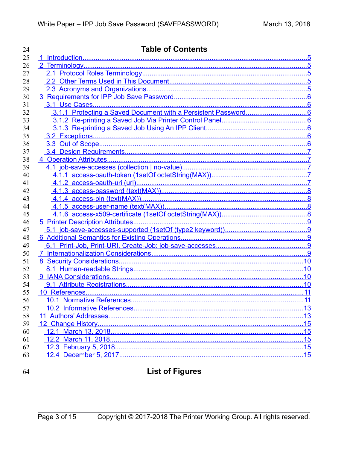| 24 | <b>Table of Contents</b> |     |
|----|--------------------------|-----|
| 25 |                          |     |
| 26 |                          |     |
| 27 |                          |     |
| 28 |                          |     |
| 29 |                          |     |
| 30 |                          |     |
| 31 |                          |     |
| 32 |                          |     |
| 33 |                          |     |
| 34 |                          |     |
| 35 |                          |     |
| 36 |                          |     |
| 37 |                          |     |
| 38 |                          |     |
| 39 |                          |     |
| 40 |                          |     |
| 41 |                          |     |
| 42 |                          |     |
| 43 |                          |     |
| 44 |                          |     |
| 45 |                          |     |
| 46 |                          |     |
| 47 |                          |     |
| 48 |                          |     |
| 49 |                          |     |
| 50 |                          |     |
| 51 |                          |     |
| 52 |                          |     |
| 53 |                          |     |
| 54 |                          |     |
| 55 |                          |     |
| 56 |                          | .11 |
| 57 |                          |     |
| 58 |                          |     |
| 59 |                          |     |
| 60 |                          |     |
| 61 |                          |     |
| 62 |                          |     |
| 63 |                          | .15 |
|    |                          |     |

64

# **List of Figures**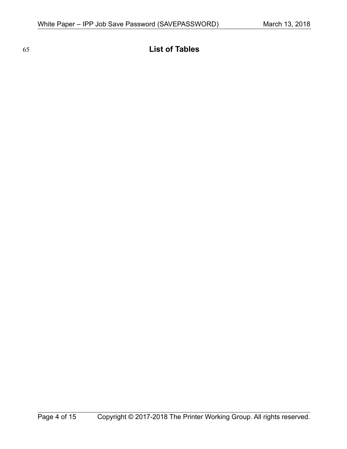**List of Tables**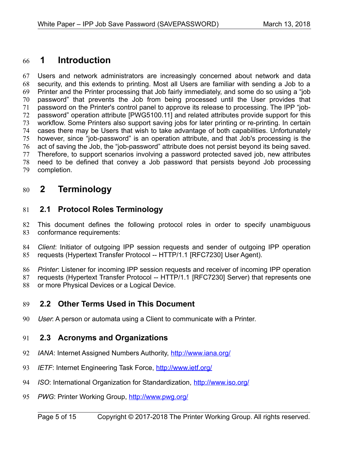## <span id="page-4-4"></span> **1 Introduction** 66

Users and network administrators are increasingly concerned about network and data security, and this extends to printing. Most all Users are familiar with sending a Job to a Printer and the Printer processing that Job fairly immediately, and some do so using a "job password" that prevents the Job from being processed until the User provides that password on the Printer's control panel to approve its release to processing. The IPP "jobpassword" operation attribute [\[PWG5100.11\]](#page-10-2) and related attributes provide support for this workflow. Some Printers also support saving jobs for later printing or re-printing. In certain cases there may be Users that wish to take advantage of both capabilities. Unfortunately however, since "job-password" is an operation attribute, and that Job's processing is the act of saving the Job, the "job-password" attribute does not persist beyond its being saved. Therefore, to support scenarios involving a password protected saved job, new attributes need to be defined that convey a Job password that persists beyond Job processing completion. 67 68 69 70 71 72 73 74 75 76 77 78 79

## <span id="page-4-3"></span> **2 Terminology** 80

## <span id="page-4-2"></span> **2.1 Protocol Roles Terminology** 81

This document defines the following protocol roles in order to specify unambiguous conformance requirements: 82 83

*Client*: Initiator of outgoing IPP session requests and sender of outgoing IPP operation requests (Hypertext Transfer Protocol -- HTTP/1.1 [\[RFC7230\]](#page-11-0) User Agent). 84 85

*Printer*: Listener for incoming IPP session requests and receiver of incoming IPP operation requests (Hypertext Transfer Protocol -- HTTP/1.1 [\[RFC7230\]](#page-11-0) Server) that represents one or more Physical Devices or a Logical Device. 86 87 88

## <span id="page-4-1"></span> **2.2 Other Terms Used in This Document** 89

User: A person or automata using a Client to communicate with a Printer. 90

## <span id="page-4-0"></span> **2.3 Acronyms and Organizations** 91

- *IANA*: Internet Assigned Numbers Authority,<http://www.iana.org/> 92
- *IETF*: Internet Engineering Task Force,<http://www.ietf.org/> 93
- *ISO*: International Organization for Standardization,<http://www.iso.org/> 94
- PWG: Printer Working Group,<http://www.pwg.org/> 95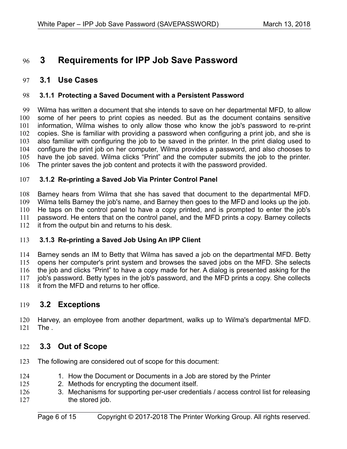## <span id="page-5-6"></span> **3 Requirements for IPP Job Save Password** 96

#### <span id="page-5-5"></span> **3.1 Use Cases** 97

#### <span id="page-5-4"></span> **3.1.1 Protecting a Saved Document with a Persistent Password** 98

Wilma has written a document that she intends to save on her departmental MFD, to allow some of her peers to print copies as needed. But as the document contains sensitive information, Wilma wishes to only allow those who know the job's password to re-print copies. She is familiar with providing a password when configuring a print job, and she is also familiar with configuring the job to be saved in the printer. In the print dialog used to configure the print job on her computer, Wilma provides a password, and also chooses to have the job saved. Wilma clicks "Print" and the computer submits the job to the printer. The printer saves the job content and protects it with the password provided. 99 100 101 102 103 104 105 106

#### <span id="page-5-3"></span> **3.1.2 Re-printing a Saved Job Via Printer Control Panel** 107

Barney hears from Wilma that she has saved that document to the departmental MFD. Wilma tells Barney the job's name, and Barney then goes to the MFD and looks up the job. He taps on the control panel to have a copy printed, and is prompted to enter the job's password. He enters that on the control panel, and the MFD prints a copy. Barney collects it from the output bin and returns to his desk. 108 109 110 111 112

#### <span id="page-5-2"></span> **3.1.3 Re-printing a Saved Job Using An IPP Client** 113

Barney sends an IM to Betty that Wilma has saved a job on the departmental MFD. Betty opens her computer's print system and browses the saved jobs on the MFD. She selects the job and clicks "Print" to have a copy made for her. A dialog is presented asking for the job's password. Betty types in the job's password, and the MFD prints a copy. She collects it from the MFD and returns to her office. 114 115 116 117 118

#### <span id="page-5-1"></span> **3.2 Exceptions** 119

Harvey, an employee from another department, walks up to Wilma's departmental MFD. The . 120 121

## <span id="page-5-0"></span> **3.3 Out of Scope** 122

- The following are considered out of scope for this document: 123
- 1. How the Document or Documents in a Job are stored by the Printer 124
- 2. Methods for encrypting the document itself. 125
- 3. Mechanisms for supporting per-user credentials / access control list for releasing the stored job. 126 127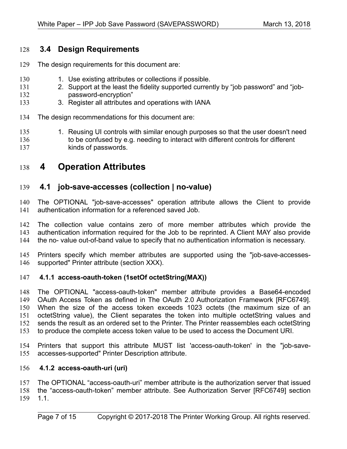## <span id="page-6-4"></span> **3.4 Design Requirements** 128

- The design requirements for this document are: 129
- 1. Use existing attributes or collections if possible. 130
- 2. Support at the least the fidelity supported currently by "job password" and "jobpassword-encryption" 131 132
- 3. Register all attributes and operations with IANA 133
- The design recommendations for this document are: 134
- 1. Reusing UI controls with similar enough purposes so that the user doesn't need to be confused by e.g. needing to interact with different controls for different kinds of passwords. 135 136 137

## <span id="page-6-3"></span> **4 Operation Attributes** 138

#### <span id="page-6-2"></span> **4.1 job-save-accesses (collection | no-value)** 139

The OPTIONAL "job-save-accesses" operation attribute allows the Client to provide authentication information for a referenced saved Job. 140 141

The collection value contains zero of more member attributes which provide the authentication information required for the Job to be reprinted. A Client MAY also provide the no- value out-of-band value to specify that no authentication information is necessary. 142 143 144

Printers specify which member attributes are supported using the "job-save-accessessupported" Printer attribute (section XXX). 145 146

#### <span id="page-6-1"></span> **4.1.1 access-oauth-token (1setOf octetString(MAX))** 147

The OPTIONAL "access-oauth-token" member attribute provides a Base64-encoded OAuth Access Token as defined in The OAuth 2.0 Authorization Framework [RFC6749]. When the size of the access token exceeds 1023 octets (the maximum size of an octetString value), the Client separates the token into multiple octetString values and sends the result as an ordered set to the Printer. The Printer reassembles each octetString to produce the complete access token value to be used to access the Document URI. 148 149 150 151 152 153

Printers that support this attribute MUST list 'access-oauth-token' in the "job-saveaccesses-supported" Printer Description attribute. 154 155

#### <span id="page-6-0"></span> **4.1.2 access-oauth-uri (uri)** 156

The OPTIONAL "access-oauth-uri" member attribute is the authorization server that issued the "access-oauth-token" member attribute. See Authorization Server [RFC6749] section 1.1. 157 158 159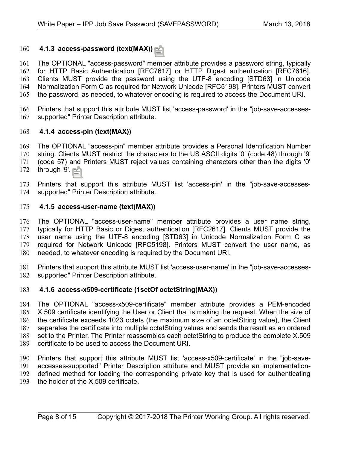#### <span id="page-7-3"></span> **4.1.3 access-password (text(MAX))** 160

The OPTIONAL "access-password" member attribute provides a password string, typically for HTTP Basic Authentication [RFC7617] or HTTP Digest authentication [RFC7616]. Clients MUST provide the password using the UTF-8 encoding [STD63] in Unicode Normalization Form C as required for Network Unicode [RFC5198]. Printers MUST convert the password, as needed, to whatever encoding is required to access the Document URI. 161 162 163 164 165

Printers that support this attribute MUST list 'access-password' in the "job-save-accessessupported" Printer Description attribute. 166 167

#### <span id="page-7-2"></span> **4.1.4 access-pin (text(MAX))** 168

The OPTIONAL "access-pin" member attribute provides a Personal Identification Number string. Clients MUST restrict the characters to the US ASCII digits '0' (code 48) through '9' (code 57) and Printers MUST reject values containing characters other than the digits '0' 169 170 171

through '9'. 172

Printers that support this attribute MUST list 'access-pin' in the "job-save-accessessupported" Printer Description attribute. 173 174

#### <span id="page-7-1"></span> **4.1.5 access-user-name (text(MAX))** 175

The OPTIONAL "access-user-name" member attribute provides a user name string, typically for HTTP Basic or Digest authentication [RFC2617]. Clients MUST provide the user name using the UTF-8 encoding [STD63] in Unicode Normalization Form C as required for Network Unicode [RFC5198]. Printers MUST convert the user name, as needed, to whatever encoding is required by the Document URI. 176 177 178 179 180

Printers that support this attribute MUST list 'access-user-name' in the "job-save-accessessupported" Printer Description attribute. 181 182

#### <span id="page-7-0"></span> **4.1.6 access-x509-certificate (1setOf octetString(MAX))** 183

The OPTIONAL "access-x509-certificate" member attribute provides a PEM-encoded X.509 certificate identifying the User or Client that is making the request. When the size of the certificate exceeds 1023 octets (the maximum size of an octetString value), the Client separates the certificate into multiple octetString values and sends the result as an ordered set to the Printer. The Printer reassembles each octetString to produce the complete X.509 certificate to be used to access the Document URI. 184 185 186 187 188 189

Printers that support this attribute MUST list 'access-x509-certificate' in the "job-saveaccesses-supported" Printer Description attribute and MUST provide an implementationdefined method for loading the corresponding private key that is used for authenticating 190 191 192

the holder of the X.509 certificate. 193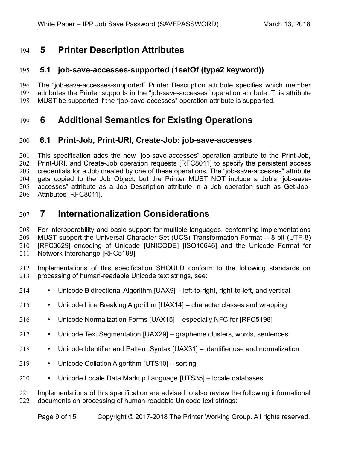## <span id="page-8-4"></span> **5 Printer Description Attributes** 194

## <span id="page-8-3"></span> **5.1 job-save-accesses-supported (1setOf (type2 keyword))** 195

The "job-save-accesses-supported" Printer Description attribute specifies which member attributes the Printer supports in the "job-save-accesses" operation attribute. This attribute MUST be supported if the "job-save-accesses" operation attribute is supported. 196 197 198

## <span id="page-8-2"></span> **6 Additional Semantics for Existing Operations** 199

#### <span id="page-8-1"></span> **6.1 Print-Job, Print-URI, Create-Job: job-save-accesses** 200

This specification adds the new "job-save-accesses" operation attribute to the Print-Job, Print-URI, and Create-Job operation requests [\[RFC8011\]](#page-11-5) to specify the persistent access credentials for a Job created by one of these operations. The "job-save-accesses" attribute gets copied to the Job Object, but the Printer MUST NOT include a Job's "job-saveaccesses" attribute as a Job Description attribute in a Job operation such as Get-Job-Attributes [\[RFC8011\].](#page-11-5) 201 202 203 204 205 206

## <span id="page-8-0"></span> **7 Internationalization Considerations** 207

For interoperability and basic support for multiple languages, conforming implementations MUST support the Universal Character Set (UCS) Transformation Format -- 8 bit (UTF-8) [RFC3629] encoding of Unicode [\[UNICODE\]](#page-12-6) [\[ISO10646\]](#page-10-3) and the Unicode Format for Network Interchange [\[RFC5198\].](#page-11-1) 208 209 210 211

Implementations of this specification SHOULD conform to the following standards on processing of human-readable Unicode text strings, see: 212 213

- Unicode Bidirectional Algorithm [\[UAX9\]](#page-11-4)  left-to-right, right-to-left, and vertical 214
- Unicode Line Breaking Algorithm [\[UAX14\]](#page-11-3)  character classes and wrapping 215
- Unicode Normalization Forms [\[UAX15\]](#page-11-2)  especially NFC for [\[RFC5198\]](#page-11-1) 216
- Unicode Text Segmentation [\[UAX29\]](#page-12-5)  grapheme clusters, words, sentences 217
- Unicode Identifier and Pattern Syntax [\[UAX31\]](#page-12-4)  identifier use and normalization 218
- Unicode Collation Algorithm [\[UTS10\]](#page-12-3)  sorting 219
- Unicode Locale Data Markup Language [\[UTS35\]](#page-12-2)  locale databases 220

Implementations of this specification are advised to also review the following informational documents on processing of human-readable Unicode text strings: 221 222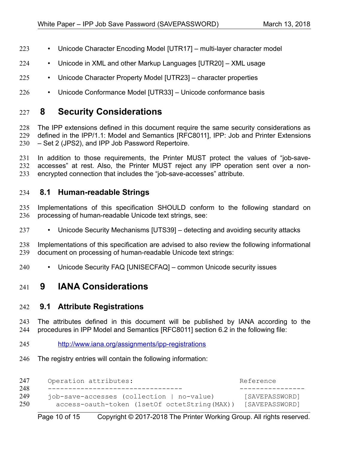- Unicode Character Encoding Model [\[UTR17\]](#page-12-12)  multi-layer character model 223
- Unicode in XML and other Markup Languages [\[UTR20\]](#page-12-11)  XML usage 224
- Unicode Character Property Model [\[UTR23\]](#page-12-10)  character properties 225
- Unicode Conformance Model [\[UTR33\]](#page-12-9)  Unicode conformance basis 226

## <span id="page-9-3"></span> **8 Security Considerations** 227

The IPP extensions defined in this document require the same security considerations as defined in the IPP/1.1: Model and Semantics [\[RFC8011\],](#page-11-5) IPP: Job and Printer Extensions – Set 2 (JPS2), and IPP Job Password Repertoire. 228 229 230

In addition to those requirements, the Printer MUST protect the values of "job-saveaccesses" at rest. Also, the Printer MUST reject any IPP operation sent over a nonencrypted connection that includes the "job-save-accesses" attribute. 231 232 233

#### <span id="page-9-2"></span> **8.1 Human-readable Strings**  234

Implementations of this specification SHOULD conform to the following standard on processing of human-readable Unicode text strings, see: 235 236

• Unicode Security Mechanisms [\[UTS39\]](#page-12-8) – detecting and avoiding security attacks 237

Implementations of this specification are advised to also review the following informational document on processing of human-readable Unicode text strings: 238 239

• Unicode Security FAQ [\[UNISECFAQ\]](#page-12-7) – common Unicode security issues 240

## <span id="page-9-1"></span> **9 IANA Considerations** 241

#### <span id="page-9-0"></span> **9.1 Attribute Registrations** 242

The attributes defined in this document will be published by IANA according to the procedures in IPP Model and Semantics [\[RFC8011\]](#page-11-5) section 6.2 in the following file: 243 244

- <http://www.iana.org/assignments/ipp-registrations> 245
- The registry entries will contain the following information: 246

| 247               | Operation attributes:                                                                                          | Reference                        |
|-------------------|----------------------------------------------------------------------------------------------------------------|----------------------------------|
| 248<br>249<br>250 | ________________<br>job-save-accesses (collection   no-value)<br>access-oauth-token (1setOf octetString (MAX)) | [SAVEPASSWORD]<br>[SAVEPASSWORD] |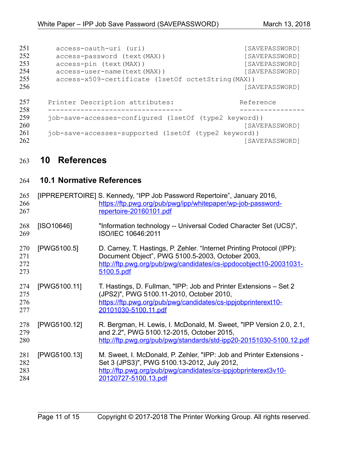| 251<br>252<br>253<br>254 | access-oauth-uri (uri)<br>access-password (text (MAX))<br>access-pin (text (MAX))<br>access-user-name (text (MAX)) | [SAVEPASSWORD]<br>[SAVEPASSWORD]<br>[SAVEPASSWORD]<br>[SAVEPASSWORD] |
|--------------------------|--------------------------------------------------------------------------------------------------------------------|----------------------------------------------------------------------|
| 255<br>256<br>257<br>258 | access-x509-certificate (1setOf octetString (MAX))<br>Printer Description attributes:                              | [SAVEPASSWORD]<br>Reference                                          |
| 259<br>260<br>261<br>262 | job-save-accesses-configured (1setOf (type2 keyword))<br>job-save-accesses-supported (1setOf (type2 keyword))      | [SAVEPASSWORD]<br>[SAVEPASSWORD]                                     |

# <span id="page-10-1"></span> **10 References** 263

## <span id="page-10-0"></span> **10.1 Normative References** 264

<span id="page-10-3"></span><span id="page-10-2"></span>

| 265<br>266<br>267        |              | [IPPREPERTOIRE] S. Kennedy, "IPP Job Password Repertoire", January 2016,<br>https://ftp.pwg.org/pub/pwg/ipp/whitepaper/wp-job-password-<br>repertoire-20160101.pdf                                            |
|--------------------------|--------------|---------------------------------------------------------------------------------------------------------------------------------------------------------------------------------------------------------------|
| 268<br>269               | [ISO10646]   | "Information technology -- Universal Coded Character Set (UCS)",<br>ISO/IEC 10646:2011                                                                                                                        |
| 270<br>271<br>272<br>273 | [PWG5100.5]  | D. Carney, T. Hastings, P. Zehler. "Internet Printing Protocol (IPP):<br>Document Object", PWG 5100.5-2003, October 2003,<br>http://ftp.pwg.org/pub/pwg/candidates/cs-ippdocobject10-20031031-<br>5100.5.pdf  |
| 274<br>275<br>276<br>277 | [PWG5100.11] | T. Hastings, D. Fullman, "IPP: Job and Printer Extensions – Set 2<br>(JPS2)", PWG 5100.11-2010, October 2010,<br>https://ftp.pwg.org/pub/pwg/candidates/cs-ippjobprinterext10-<br>20101030-5100.11.pdf        |
| 278<br>279<br>280        | [PWG5100.12] | R. Bergman, H. Lewis, I. McDonald, M. Sweet, "IPP Version 2.0, 2.1,<br>and 2.2", PWG 5100.12-2015, October 2015,<br>http://ftp.pwg.org/pub/pwg/standards/std-ipp20-20151030-5100.12.pdf                       |
| 281<br>282<br>283<br>284 | [PWG5100.13] | M. Sweet, I. McDonald, P. Zehler, "IPP: Job and Printer Extensions -<br>Set 3 (JPS3)", PWG 5100.13-2012, July 2012,<br>http://ftp.pwg.org/pub/pwg/candidates/cs-ippjobprinterext3v10-<br>20120727-5100.13.pdf |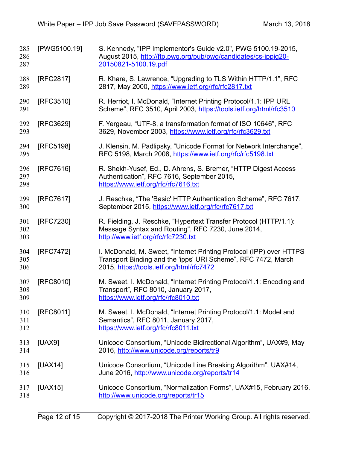<span id="page-11-5"></span><span id="page-11-4"></span><span id="page-11-3"></span><span id="page-11-2"></span><span id="page-11-1"></span><span id="page-11-0"></span>

| 285<br>286<br>287 | [PWG5100.19] | S. Kennedy, "IPP Implementor's Guide v2.0", PWG 5100.19-2015,<br>August 2015, http://ftp.pwg.org/pub/pwg/candidates/cs-ippig20-<br>20150821-5100.19.pdf                           |
|-------------------|--------------|-----------------------------------------------------------------------------------------------------------------------------------------------------------------------------------|
| 288<br>289        | [RFC2817]    | R. Khare, S. Lawrence, "Upgrading to TLS Within HTTP/1.1", RFC<br>2817, May 2000, https://www.ietf.org/rfc/rfc2817.txt                                                            |
| 290<br>291        | [RFC3510]    | R. Herriot, I. McDonald, "Internet Printing Protocol/1.1: IPP URL<br>Scheme", RFC 3510, April 2003, https://tools.ietf.org/html/rfc3510                                           |
| 292<br>293        | [RFC3629]    | F. Yergeau, "UTF-8, a transformation format of ISO 10646", RFC<br>3629, November 2003, https://www.ietf.org/rfc/rfc3629.txt                                                       |
| 294<br>295        | [RFC5198]    | J. Klensin, M. Padlipsky, "Unicode Format for Network Interchange",<br>RFC 5198, March 2008, https://www.ietf.org/rfc/rfc5198.txt                                                 |
| 296<br>297<br>298 | [RFC7616]    | R. Shekh-Yusef, Ed., D. Ahrens, S. Bremer, "HTTP Digest Access"<br>Authentication", RFC 7616, September 2015,<br>https://www.ietf.org/rfc/rfc7616.txt                             |
| 299<br>300        | [RFC7617]    | J. Reschke, "The 'Basic' HTTP Authentication Scheme", RFC 7617,<br>September 2015, https://www.ietf.org/rfc/rfc7617.txt                                                           |
| 301<br>302<br>303 | [RFC7230]    | R. Fielding, J. Reschke, "Hypertext Transfer Protocol (HTTP/1.1):<br>Message Syntax and Routing", RFC 7230, June 2014,<br>http://www.ietf.org/rfc/rfc7230.txt                     |
| 304<br>305<br>306 | [RFC7472]    | I. McDonald, M. Sweet, "Internet Printing Protocol (IPP) over HTTPS<br>Transport Binding and the 'ipps' URI Scheme", RFC 7472, March<br>2015, https://tools.ietf.org/html/rfc7472 |
| 307<br>308<br>309 | [RFC8010]    | M. Sweet, I. McDonald, "Internet Printing Protocol/1.1: Encoding and<br>Transport", RFC 8010, January 2017,<br>https://www.ietf.org/rfc/rfc8010.txt                               |
| 310<br>311<br>312 | [RFC8011]    | M. Sweet, I. McDonald, "Internet Printing Protocol/1.1: Model and<br>Semantics", RFC 8011, January 2017,<br>https://www.ietf.org/rfc/rfc8011.txt                                  |
| 313<br>314        | [UAX9]       | Unicode Consortium, "Unicode Bidirectional Algorithm", UAX#9, May<br>2016, http://www.unicode.org/reports/tr9                                                                     |
| 315<br>316        | [UAX14]      | Unicode Consortium, "Unicode Line Breaking Algorithm", UAX#14,<br>June 2016, http://www.unicode.org/reports/tr14                                                                  |
| 317<br>318        | [UAX15]      | Unicode Consortium, "Normalization Forms", UAX#15, February 2016,<br>http://www.unicode.org/reports/tr15                                                                          |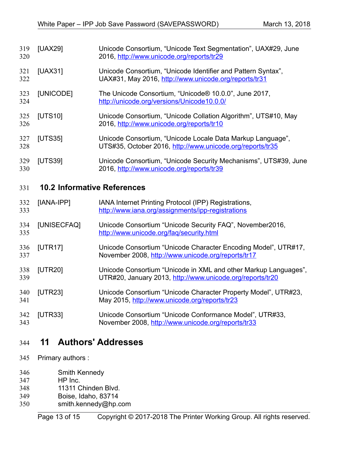<span id="page-12-8"></span><span id="page-12-6"></span><span id="page-12-5"></span><span id="page-12-4"></span><span id="page-12-3"></span><span id="page-12-2"></span><span id="page-12-1"></span>

| 319<br>320 | [UAX29]                            | Unicode Consortium, "Unicode Text Segmentation", UAX#29, June<br>2016, http://www.unicode.org/reports/tr29                   |
|------------|------------------------------------|------------------------------------------------------------------------------------------------------------------------------|
| 321<br>322 | [UAX31]                            | Unicode Consortium, "Unicode Identifier and Pattern Syntax",<br>UAX#31, May 2016, http://www.unicode.org/reports/tr31        |
| 323<br>324 | [UNICODE]                          | The Unicode Consortium, "Unicode® 10.0.0", June 2017,<br>http://unicode.org/versions/Unicode10.0.0/                          |
| 325<br>326 | [UTS10]                            | Unicode Consortium, "Unicode Collation Algorithm", UTS#10, May<br>2016, http://www.unicode.org/reports/tr10                  |
| 327<br>328 | [UTS35]                            | Unicode Consortium, "Unicode Locale Data Markup Language",<br>UTS#35, October 2016, http://www.unicode.org/reports/tr35      |
| 329<br>330 | <b>[UTS39]</b>                     | Unicode Consortium, "Unicode Security Mechanisms", UTS#39, June<br>2016, http://www.unicode.org/reports/tr39                 |
| 331        | <b>10.2 Informative References</b> |                                                                                                                              |
|            |                                    |                                                                                                                              |
| 332<br>333 | [IANA-IPP]                         | IANA Internet Printing Protocol (IPP) Registrations,<br>http://www.iana.org/assignments/ipp-registrations                    |
| 334<br>335 | [UNISECFAQ]                        | Unicode Consortium "Unicode Security FAQ", November2016,<br>http://www.unicode.org/faq/security.html                         |
| 336<br>337 | [UTR17]                            | Unicode Consortium "Unicode Character Encoding Model", UTR#17,<br>November 2008, http://www.unicode.org/reports/tr17         |
| 338<br>339 | [UTR20]                            | Unicode Consortium "Unicode in XML and other Markup Languages",<br>UTR#20, January 2013, http://www.unicode.org/reports/tr20 |
| 340<br>341 | [UTR23]                            | Unicode Consortium "Unicode Character Property Model", UTR#23,<br>May 2015, http://www.unicode.org/reports/tr23              |
| 342<br>343 | [UTR33]                            | Unicode Consortium "Unicode Conformance Model", UTR#33,<br>November 2008, http://www.unicode.org/reports/tr33                |

- <span id="page-12-12"></span><span id="page-12-11"></span><span id="page-12-10"></span><span id="page-12-9"></span><span id="page-12-7"></span><span id="page-12-0"></span>Primary authors : 345
- Smith Kennedy 346
- HP Inc. 347
- 11311 Chinden Blvd. 348
- Boise, Idaho, 83714 349
- smith.kennedy@hp.com 350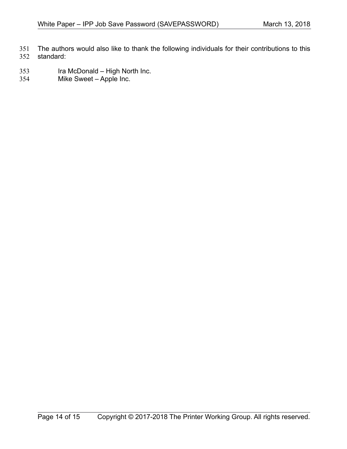The authors would also like to thank the following individuals for their contributions to this standard: 351 352

- Ira McDonald High North Inc. 353
- Mike Sweet Apple Inc. 354